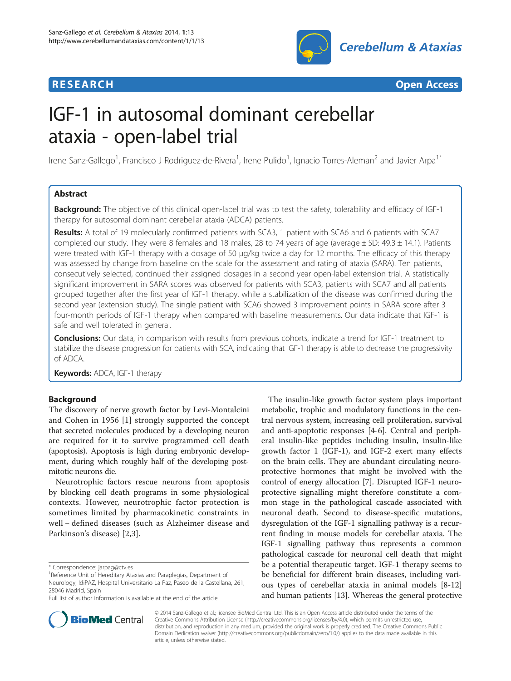



# IGF-1 in autosomal dominant cerebellar ataxia - open-label trial

Irene Sanz-Gallego<sup>1</sup>, Francisco J Rodriguez-de-Rivera<sup>1</sup>, Irene Pulido<sup>1</sup>, Ignacio Torres-Aleman<sup>2</sup> and Javier Arpa<sup>1\*</sup>

# Abstract

Background: The objective of this clinical open-label trial was to test the safety, tolerability and efficacy of IGF-1 therapy for autosomal dominant cerebellar ataxia (ADCA) patients.

Results: A total of 19 molecularly confirmed patients with SCA3, 1 patient with SCA6 and 6 patients with SCA7 completed our study. They were 8 females and 18 males, 28 to 74 years of age (average  $\pm$  SD: 49.3  $\pm$  14.1). Patients were treated with IGF-1 therapy with a dosage of 50 μg/kg twice a day for 12 months. The efficacy of this therapy was assessed by change from baseline on the scale for the assessment and rating of ataxia (SARA). Ten patients, consecutively selected, continued their assigned dosages in a second year open-label extension trial. A statistically significant improvement in SARA scores was observed for patients with SCA3, patients with SCA7 and all patients grouped together after the first year of IGF-1 therapy, while a stabilization of the disease was confirmed during the second year (extension study). The single patient with SCA6 showed 3 improvement points in SARA score after 3 four-month periods of IGF-1 therapy when compared with baseline measurements. Our data indicate that IGF-1 is safe and well tolerated in general.

Conclusions: Our data, in comparison with results from previous cohorts, indicate a trend for IGF-1 treatment to stabilize the disease progression for patients with SCA, indicating that IGF-1 therapy is able to decrease the progressivity of ADCA.

Keywords: ADCA, IGF-1 therapy

# Background

The discovery of nerve growth factor by Levi-Montalcini and Cohen in 1956 [\[1\]](#page-7-0) strongly supported the concept that secreted molecules produced by a developing neuron are required for it to survive programmed cell death (apoptosis). Apoptosis is high during embryonic development, during which roughly half of the developing postmitotic neurons die.

Neurotrophic factors rescue neurons from apoptosis by blocking cell death programs in some physiological contexts. However, neurotrophic factor protection is sometimes limited by pharmacokinetic constraints in well − defined diseases (such as Alzheimer disease and Parkinson's disease) [[2,3](#page-7-0)].

The insulin-like growth factor system plays important metabolic, trophic and modulatory functions in the central nervous system, increasing cell proliferation, survival and anti-apoptotic responses [\[4](#page-7-0)-[6\]](#page-7-0). Central and peripheral insulin-like peptides including insulin, insulin-like growth factor 1 (IGF-1), and IGF-2 exert many effects on the brain cells. They are abundant circulating neuroprotective hormones that might be involved with the control of energy allocation [[7\]](#page-7-0). Disrupted IGF-1 neuroprotective signalling might therefore constitute a common stage in the pathological cascade associated with neuronal death. Second to disease-specific mutations, dysregulation of the IGF-1 signalling pathway is a recurrent finding in mouse models for cerebellar ataxia. The IGF-1 signalling pathway thus represents a common pathological cascade for neuronal cell death that might be a potential therapeutic target. IGF-1 therapy seems to be beneficial for different brain diseases, including various types of cerebellar ataxia in animal models [\[8](#page-7-0)-[12](#page-8-0)] and human patients [[13](#page-8-0)]. Whereas the general protective



© 2014 Sanz-Gallego et al.; licensee BioMed Central Ltd. This is an Open Access article distributed under the terms of the Creative Commons Attribution License (<http://creativecommons.org/licenses/by/4.0>), which permits unrestricted use, distribution, and reproduction in any medium, provided the original work is properly credited. The Creative Commons Public Domain Dedication waiver [\(http://creativecommons.org/publicdomain/zero/1.0/\)](http://creativecommons.org/publicdomain/zero/1.0/) applies to the data made available in this article, unless otherwise stated.

<sup>\*</sup> Correspondence: [jarpag@ctv.es](mailto:jarpag@ctv.es) <sup>1</sup>

<sup>&</sup>lt;sup>1</sup>Reference Unit of Hereditary Ataxias and Paraplegias, Department of Neurology, IdiPAZ, Hospital Universitario La Paz, Paseo de la Castellana, 261, 28046 Madrid, Spain

Full list of author information is available at the end of the article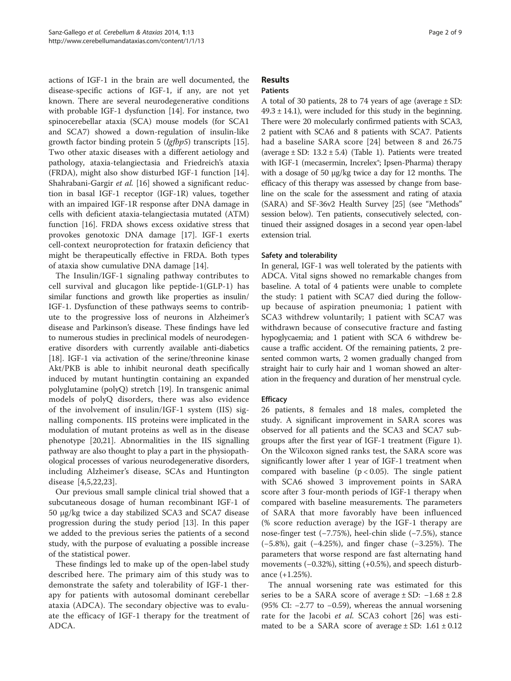actions of IGF-1 in the brain are well documented, the disease-specific actions of IGF-1, if any, are not yet known. There are several neurodegenerative conditions with probable IGF-1 dysfunction [[14\]](#page-8-0). For instance, two spinocerebellar ataxia (SCA) mouse models (for SCA1 and SCA7) showed a down-regulation of insulin-like growth factor binding protein 5 (Igfbp5) transcripts [\[15](#page-8-0)]. Two other ataxic diseases with a different aetiology and pathology, ataxia-telangiectasia and Friedreich's ataxia (FRDA), might also show disturbed IGF-1 function [\[14](#page-8-0)]. Shahrabani-Gargir et al. [[16\]](#page-8-0) showed a significant reduction in basal IGF-1 receptor (IGF-1R) values, together with an impaired IGF-1R response after DNA damage in cells with deficient ataxia-telangiectasia mutated (ATM) function [\[16](#page-8-0)]. FRDA shows excess oxidative stress that provokes genotoxic DNA damage [\[17](#page-8-0)]. IGF-1 exerts cell-context neuroprotection for frataxin deficiency that might be therapeutically effective in FRDA. Both types of ataxia show cumulative DNA damage [\[14\]](#page-8-0).

The Insulin/IGF-1 signaling pathway contributes to cell survival and glucagon like peptide-1(GLP-1) has similar functions and growth like properties as insulin/ IGF-1. Dysfunction of these pathways seems to contribute to the progressive loss of neurons in Alzheimer's disease and Parkinson's disease. These findings have led to numerous studies in preclinical models of neurodegenerative disorders with currently available anti-diabetics [[18](#page-8-0)]. IGF-1 via activation of the serine/threonine kinase Akt/PKB is able to inhibit neuronal death specifically induced by mutant huntingtin containing an expanded polyglutamine (polyQ) stretch [\[19](#page-8-0)]. In transgenic animal models of polyQ disorders, there was also evidence of the involvement of insulin/IGF-1 system (IIS) signalling components. IIS proteins were implicated in the modulation of mutant proteins as well as in the disease phenotype [[20,21\]](#page-8-0). Abnormalities in the IIS signalling pathway are also thought to play a part in the physiopathological processes of various neurodegenerative disorders, including Alzheimer's disease, SCAs and Huntington disease [[4,5](#page-7-0)[,22](#page-8-0),[23\]](#page-8-0).

Our previous small sample clinical trial showed that a subcutaneous dosage of human recombinant IGF-1 of 50 μg/kg twice a day stabilized SCA3 and SCA7 disease progression during the study period [\[13](#page-8-0)]. In this paper we added to the previous series the patients of a second study, with the purpose of evaluating a possible increase of the statistical power.

These findings led to make up of the open-label study described here. The primary aim of this study was to demonstrate the safety and tolerability of IGF-1 therapy for patients with autosomal dominant cerebellar ataxia (ADCA). The secondary objective was to evaluate the efficacy of IGF-1 therapy for the treatment of ADCA.

# Results

## **Patients**

A total of 30 patients, 28 to 74 years of age (average  $\pm$  SD:  $49.3 \pm 14.1$ , were included for this study in the beginning. There were 20 molecularly confirmed patients with SCA3, 2 patient with SCA6 and 8 patients with SCA7. Patients had a baseline SARA score [[24\]](#page-8-0) between 8 and 26.75 (average  $\pm$  SD: 13.2  $\pm$  5.4) (Table [1\)](#page-2-0). Patients were treated with IGF-1 (mecasermin, Increlex<sup>®</sup>; Ipsen-Pharma) therapy with a dosage of 50 μg/kg twice a day for 12 months. The efficacy of this therapy was assessed by change from baseline on the scale for the assessment and rating of ataxia (SARA) and SF-36v2 Health Survey [\[25\]](#page-8-0) (see "[Methods](#page-6-0)" session below). Ten patients, consecutively selected, continued their assigned dosages in a second year open-label extension trial.

### Safety and tolerability

In general, IGF-1 was well tolerated by the patients with ADCA. Vital signs showed no remarkable changes from baseline. A total of 4 patients were unable to complete the study: 1 patient with SCA7 died during the followup because of aspiration pneumonia; 1 patient with SCA3 withdrew voluntarily; 1 patient with SCA7 was withdrawn because of consecutive fracture and fasting hypoglycaemia; and 1 patient with SCA 6 withdrew because a traffic accident. Of the remaining patients, 2 presented common warts, 2 women gradually changed from straight hair to curly hair and 1 woman showed an alteration in the frequency and duration of her menstrual cycle.

### **Efficacy**

26 patients, 8 females and 18 males, completed the study. A significant improvement in SARA scores was observed for all patients and the SCA3 and SCA7 subgroups after the first year of IGF-1 treatment (Figure [1](#page-3-0)). On the Wilcoxon signed ranks test, the SARA score was significantly lower after 1 year of IGF-1 treatment when compared with baseline ( $p < 0.05$ ). The single patient with SCA6 showed 3 improvement points in SARA score after 3 four-month periods of IGF-1 therapy when compared with baseline measurements. The parameters of SARA that more favorably have been influenced (% score reduction average) by the IGF-1 therapy are nose-finger test (−7.75%), heel-chin slide (−7.5%), stance (−5.8%), gait (−4.25%), and finger chase (−3.25%). The parameters that worse respond are fast alternating hand movements (−0.32%), sitting (+0.5%), and speech disturbance (+1.25%).

The annual worsening rate was estimated for this series to be a SARA score of average  $\pm$  SD:  $-1.68 \pm 2.8$ (95% CI: −2.77 to −0.59), whereas the annual worsening rate for the Jacobi *et al.* SCA3 cohort [\[26](#page-8-0)] was estimated to be a SARA score of average  $\pm$  SD: 1.61  $\pm$  0.12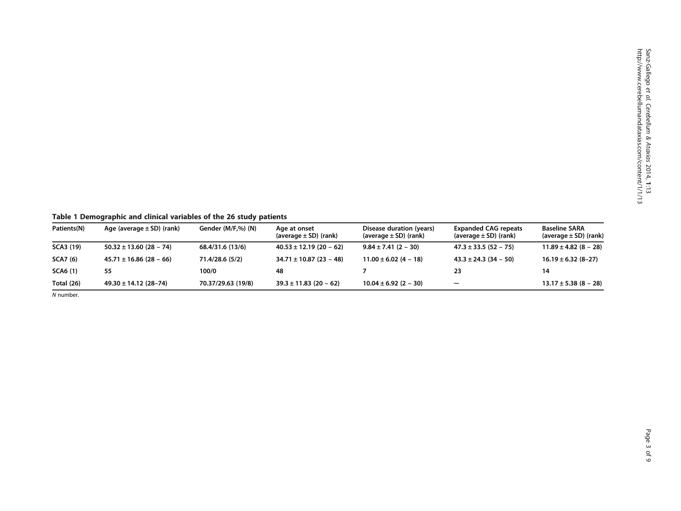<span id="page-2-0"></span>Table 1 Demographic and clinical variables of the 26 study patients

| Patients(N)      | Age (average $\pm$ SD) (rank) | Gender (M/F,%) (N) | Age at onset<br>(average $\pm$ SD) (rank) | Disease duration (years)<br>(average $\pm$ SD) (rank) | <b>Expanded CAG repeats</b><br>(average $\pm$ SD) (rank) | Baseline SARA<br>(average $\pm$ SD) (rank) |
|------------------|-------------------------------|--------------------|-------------------------------------------|-------------------------------------------------------|----------------------------------------------------------|--------------------------------------------|
| <b>SCA3 (19)</b> | $50.32 \pm 13.60$ (28 - 74)   | 68.4/31.6 (13/6)   | $40.53 \pm 12.19$ (20 - 62)               | $9.84 \pm 7.41$ (2 – 30)                              | $47.3 \pm 33.5$ (52 – 75)                                | $11.89 \pm 4.82 (8 - 28)$                  |
| <b>SCA7</b> (6)  | $45.71 \pm 16.86$ (28 – 66)   | 71.4/28.6 (5/2)    | $34.71 \pm 10.87$ (23 - 48)               | $11.00 \pm 6.02$ (4 - 18)                             | $43.3 \pm 24.3$ (34 – 50)                                | $16.19 \pm 6.32 (8 - 27)$                  |
| <b>SCA6 (1)</b>  | 55                            | 100/0              | 48                                        |                                                       | 23                                                       | 14                                         |
| Total (26)       | $49.30 \pm 14.12$ (28-74)     | 70.37/29.63 (19/8) | $39.3 \pm 11.83$ (20 - 62)                | $10.04 \pm 6.92$ (2 – 30)                             | $\qquad \qquad -$                                        | $13.17 \pm 5.38 (8 - 28)$                  |

N number.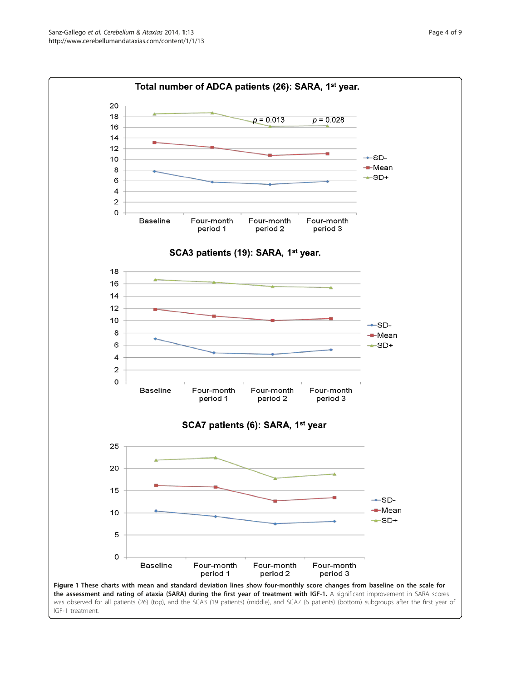20 18

16  $14$  $12$ 

 $10$ 

8

6  $\overline{\mathbf{4}}$  $\overline{2}$  $\mathsf{o}$ 

8

6

 $\overline{4}$  $\overline{\mathbf{c}}$  $\mathsf{o}$ 

<span id="page-3-0"></span>





Figure 1 These charts with mean and standard deviation lines show four-monthly score changes from baseline on the scale for the assessment and rating of ataxia (SARA) during the first year of treatment with IGF-1. A significant improvement in SARA scores was observed for all patients (26) (top), and the SCA3 (19 patients) (middle), and SCA7 (6 patients) (bottom) subgroups after the first year of IGF-1 treatment.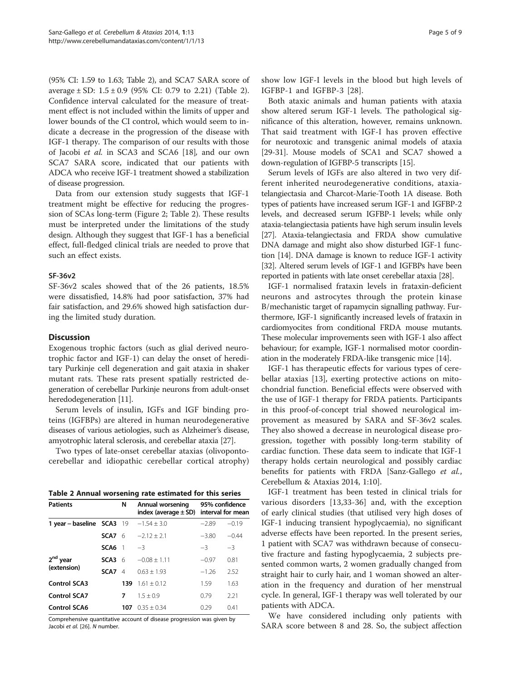(95% CI: 1.59 to 1.63; Table 2), and SCA7 SARA score of average  $\pm$  SD:  $1.5 \pm 0.9$  (95% CI: 0.79 to 2.21) (Table 2). Confidence interval calculated for the measure of treatment effect is not included within the limits of upper and lower bounds of the CI control, which would seem to indicate a decrease in the progression of the disease with IGF-1 therapy. The comparison of our results with those of Jacobi et al. in SCA3 and SCA6 [[18](#page-8-0)], and our own SCA7 SARA score, indicated that our patients with ADCA who receive IGF-1 treatment showed a stabilization of disease progression.

Data from our extension study suggests that IGF-1 treatment might be effective for reducing the progression of SCAs long-term (Figure [2](#page-5-0); Table 2). These results must be interpreted under the limitations of the study design. Although they suggest that IGF-1 has a beneficial effect, full-fledged clinical trials are needed to prove that such an effect exists.

#### SF-36v2

SF-36v2 scales showed that of the 26 patients, 18.5% were dissatisfied, 14.8% had poor satisfaction, 37% had fair satisfaction, and 29.6% showed high satisfaction during the limited study duration.

#### **Discussion**

Exogenous trophic factors (such as glial derived neurotrophic factor and IGF-1) can delay the onset of hereditary Purkinje cell degeneration and gait ataxia in shaker mutant rats. These rats present spatially restricted degeneration of cerebellar Purkinje neurons from adult-onset heredodegeneration [[11](#page-8-0)].

Serum levels of insulin, IGFs and IGF binding proteins (IGFBPs) are altered in human neurodegenerative diseases of various aetiologies, such as Alzheimer's disease, amyotrophic lateral sclerosis, and cerebellar ataxia [\[27\]](#page-8-0).

Two types of late-onset cerebellar ataxias (olivopontocerebellar and idiopathic cerebellar cortical atrophy)

|  |  | Table 2 Annual worsening rate estimated for this series |  |  |  |  |  |
|--|--|---------------------------------------------------------|--|--|--|--|--|
|--|--|---------------------------------------------------------|--|--|--|--|--|

| <b>Patients</b>           |                  | N              | Annual worsening<br>index (average $\pm$ SD) | 95% confidence<br>interval for mean |         |  |
|---------------------------|------------------|----------------|----------------------------------------------|-------------------------------------|---------|--|
| 1 year - baseline SCA3 19 |                  |                | $-1.54 \pm 3.0$                              | $-2.89$                             | $-0.19$ |  |
|                           | SCA7 6           |                | $-2.12 + 2.1$                                | $-3.80$                             | $-0.44$ |  |
|                           | SCA <sub>6</sub> | $\overline{1}$ | $-3$                                         | $-3$                                | $-3$    |  |
| 2 <sup>nd</sup> year      | SCA3             | - 6            | $-0.08 \pm 1.11$                             | $-0.97$                             | 0.81    |  |
| (extension)               | SCA7             | $\overline{4}$ | $0.63 + 1.93$                                | $-1.26$                             | 2.52    |  |
| <b>Control SCA3</b>       |                  | 139            | $1.61 + 0.12$                                | 1.59                                | 1.63    |  |
| <b>Control SCA7</b>       |                  | 7              | $1.5 + 0.9$                                  | 0.79                                | 2.21    |  |
| <b>Control SCA6</b>       |                  | 107            | $0.35 + 0.34$                                | 0.29                                | 0.41    |  |

Comprehensive quantitative account of disease progression was given by Jacobi et al. [\[26\]](#page-8-0). N number.

show low IGF-I levels in the blood but high levels of IGFBP-1 and IGFBP-3 [[28](#page-8-0)].

Both ataxic animals and human patients with ataxia show altered serum IGF-1 levels. The pathological significance of this alteration, however, remains unknown. That said treatment with IGF-I has proven effective for neurotoxic and transgenic animal models of ataxia [[29](#page-8-0)-[31\]](#page-8-0). Mouse models of SCA1 and SCA7 showed a down-regulation of IGFBP-5 transcripts [\[15\]](#page-8-0).

Serum levels of IGFs are also altered in two very different inherited neurodegenerative conditions, ataxiatelangiectasia and Charcot-Marie-Tooth 1A disease. Both types of patients have increased serum IGF-1 and IGFBP-2 levels, and decreased serum IGFBP-1 levels; while only ataxia-telangiectasia patients have high serum insulin levels [[27](#page-8-0)]. Ataxia-telangiectasia and FRDA show cumulative DNA damage and might also show disturbed IGF-1 function [[14](#page-8-0)]. DNA damage is known to reduce IGF-1 activity [[32](#page-8-0)]. Altered serum levels of IGF-1 and IGFBPs have been reported in patients with late onset cerebellar ataxia [[28](#page-8-0)].

IGF-1 normalised frataxin levels in frataxin-deficient neurons and astrocytes through the protein kinase B/mechanistic target of rapamycin signalling pathway. Furthermore, IGF-1 significantly increased levels of frataxin in cardiomyocites from conditional FRDA mouse mutants. These molecular improvements seen with IGF-1 also affect behaviour; for example, IGF-1 normalised motor coordination in the moderately FRDA-like transgenic mice [\[14\]](#page-8-0).

IGF-1 has therapeutic effects for various types of cerebellar ataxias [[13](#page-8-0)], exerting protective actions on mitochondrial function. Beneficial effects were observed with the use of IGF-1 therapy for FRDA patients. Participants in this proof-of-concept trial showed neurological improvement as measured by SARA and SF-36v2 scales. They also showed a decrease in neurological disease progression, together with possibly long-term stability of cardiac function. These data seem to indicate that IGF-1 therapy holds certain neurological and possibly cardiac benefits for patients with FRDA [Sanz-Gallego et al., Cerebellum & Ataxias 2014, 1:10].

IGF-1 treatment has been tested in clinical trials for various disorders [[13,33](#page-8-0)-[36](#page-8-0)] and, with the exception of early clinical studies (that utilised very high doses of IGF-1 inducing transient hypoglycaemia), no significant adverse effects have been reported. In the present series, 1 patient with SCA7 was withdrawn because of consecutive fracture and fasting hypoglycaemia, 2 subjects presented common warts, 2 women gradually changed from straight hair to curly hair, and 1 woman showed an alteration in the frequency and duration of her menstrual cycle. In general, IGF-1 therapy was well tolerated by our patients with ADCA.

We have considered including only patients with SARA score between 8 and 28. So, the subject affection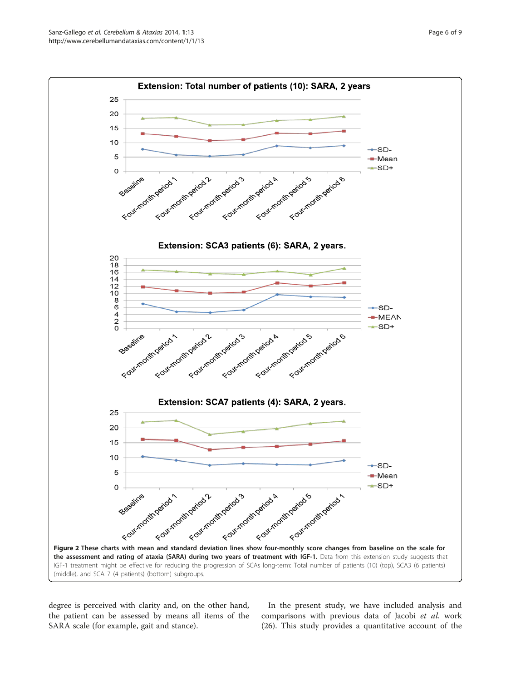<span id="page-5-0"></span>

degree is perceived with clarity and, on the other hand, the patient can be assessed by means all items of the SARA scale (for example, gait and stance).

In the present study, we have included analysis and comparisons with previous data of Jacobi et al. work (26). This study provides a quantitative account of the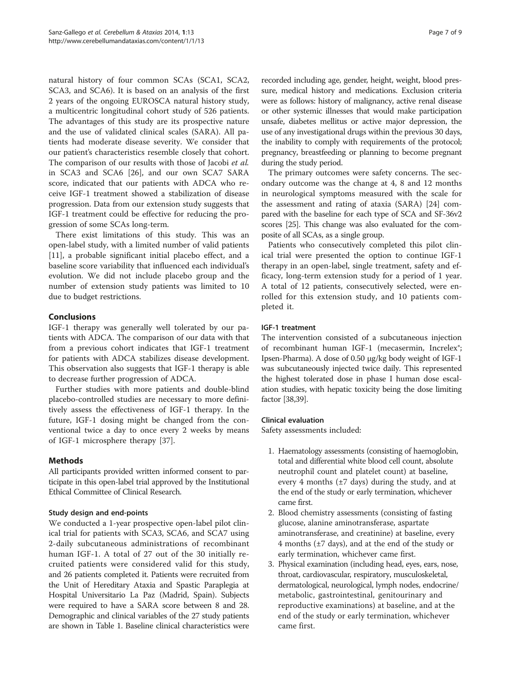<span id="page-6-0"></span>natural history of four common SCAs (SCA1, SCA2, SCA3, and SCA6). It is based on an analysis of the first 2 years of the ongoing EUROSCA natural history study, a multicentric longitudinal cohort study of 526 patients. The advantages of this study are its prospective nature and the use of validated clinical scales (SARA). All patients had moderate disease severity. We consider that our patient's characteristics resemble closely that cohort. The comparison of our results with those of Jacobi et al. in SCA3 and SCA6 [\[26](#page-8-0)], and our own SCA7 SARA score, indicated that our patients with ADCA who receive IGF-1 treatment showed a stabilization of disease progression. Data from our extension study suggests that IGF-1 treatment could be effective for reducing the progression of some SCAs long-term.

There exist limitations of this study. This was an open-label study, with a limited number of valid patients [[11\]](#page-8-0), a probable significant initial placebo effect, and a baseline score variability that influenced each individual's evolution. We did not include placebo group and the number of extension study patients was limited to 10 due to budget restrictions.

# Conclusions

IGF-1 therapy was generally well tolerated by our patients with ADCA. The comparison of our data with that from a previous cohort indicates that IGF-1 treatment for patients with ADCA stabilizes disease development. This observation also suggests that IGF-1 therapy is able to decrease further progression of ADCA.

Further studies with more patients and double-blind placebo-controlled studies are necessary to more definitively assess the effectiveness of IGF-1 therapy. In the future, IGF-1 dosing might be changed from the conventional twice a day to once every 2 weeks by means of IGF-1 microsphere therapy [[37\]](#page-8-0).

# Methods

All participants provided written informed consent to participate in this open-label trial approved by the Institutional Ethical Committee of Clinical Research.

# Study design and end-points

We conducted a 1-year prospective open-label pilot clinical trial for patients with SCA3, SCA6, and SCA7 using 2-daily subcutaneous administrations of recombinant human IGF-1. A total of 27 out of the 30 initially recruited patients were considered valid for this study, and 26 patients completed it. Patients were recruited from the Unit of Hereditary Ataxia and Spastic Paraplegia at Hospital Universitario La Paz (Madrid, Spain). Subjects were required to have a SARA score between 8 and 28. Demographic and clinical variables of the 27 study patients are shown in Table [1](#page-2-0). Baseline clinical characteristics were

recorded including age, gender, height, weight, blood pressure, medical history and medications. Exclusion criteria were as follows: history of malignancy, active renal disease or other systemic illnesses that would make participation unsafe, diabetes mellitus or active major depression, the use of any investigational drugs within the previous 30 days, the inability to comply with requirements of the protocol; pregnancy, breastfeeding or planning to become pregnant during the study period.

The primary outcomes were safety concerns. The secondary outcome was the change at 4, 8 and 12 months in neurological symptoms measured with the scale for the assessment and rating of ataxia (SARA) [[24\]](#page-8-0) compared with the baseline for each type of SCA and SF-36v2 scores [\[25](#page-8-0)]. This change was also evaluated for the composite of all SCAs, as a single group.

Patients who consecutively completed this pilot clinical trial were presented the option to continue IGF-1 therapy in an open-label, single treatment, safety and efficacy, long-term extension study for a period of 1 year. A total of 12 patients, consecutively selected, were enrolled for this extension study, and 10 patients completed it.

# IGF-1 treatment

The intervention consisted of a subcutaneous injection of recombinant human IGF-1 (mecasermin, Increlex®; Ipsen-Pharma). A dose of 0.50 μg/kg body weight of IGF-1 was subcutaneously injected twice daily. This represented the highest tolerated dose in phase I human dose escalation studies, with hepatic toxicity being the dose limiting factor [\[38,39](#page-8-0)].

### Clinical evaluation

Safety assessments included:

- 1. Haematology assessments (consisting of haemoglobin, total and differential white blood cell count, absolute neutrophil count and platelet count) at baseline, every 4 months (±7 days) during the study, and at the end of the study or early termination, whichever came first.
- 2. Blood chemistry assessments (consisting of fasting glucose, alanine aminotransferase, aspartate aminotransferase, and creatinine) at baseline, every 4 months (±7 days), and at the end of the study or early termination, whichever came first.
- 3. Physical examination (including head, eyes, ears, nose, throat, cardiovascular, respiratory, musculoskeletal, dermatological, neurological, lymph nodes, endocrine/ metabolic, gastrointestinal, genitourinary and reproductive examinations) at baseline, and at the end of the study or early termination, whichever came first.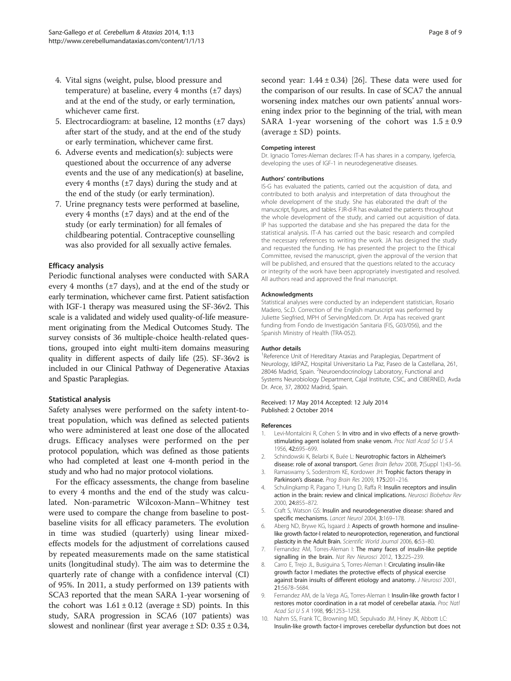- <span id="page-7-0"></span>4. Vital signs (weight, pulse, blood pressure and temperature) at baseline, every 4 months  $(\pm 7 \text{ days})$ and at the end of the study, or early termination, whichever came first.
- 5. Electrocardiogram: at baseline, 12 months  $(\pm 7 \text{ days})$ after start of the study, and at the end of the study or early termination, whichever came first.
- 6. Adverse events and medication(s): subjects were questioned about the occurrence of any adverse events and the use of any medication(s) at baseline, every 4 months ( $\pm$ 7 days) during the study and at the end of the study (or early termination).
- 7. Urine pregnancy tests were performed at baseline, every 4 months  $(\pm 7 \text{ days})$  and at the end of the study (or early termination) for all females of childbearing potential. Contraceptive counselling was also provided for all sexually active females.

#### Efficacy analysis

Periodic functional analyses were conducted with SARA every 4 months  $(\pm 7 \text{ days})$ , and at the end of the study or early termination, whichever came first. Patient satisfaction with IGF-1 therapy was measured using the SF-36v2. This scale is a validated and widely used quality-of-life measurement originating from the Medical Outcomes Study. The survey consists of 36 multiple-choice health-related questions, grouped into eight multi-item domains measuring quality in different aspects of daily life (25). SF-36v2 is included in our Clinical Pathway of Degenerative Ataxias and Spastic Paraplegias.

#### Statistical analysis

Safety analyses were performed on the safety intent-totreat population, which was defined as selected patients who were administered at least one dose of the allocated drugs. Efficacy analyses were performed on the per protocol population, which was defined as those patients who had completed at least one 4-month period in the study and who had no major protocol violations.

For the efficacy assessments, the change from baseline to every 4 months and the end of the study was calculated. Non-parametric Wilcoxon-Mann–Whitney test were used to compare the change from baseline to postbaseline visits for all efficacy parameters. The evolution in time was studied (quarterly) using linear mixedeffects models for the adjustment of correlations caused by repeated measurements made on the same statistical units (longitudinal study). The aim was to determine the quarterly rate of change with a confidence interval (CI) of 95%. In 2011, a study performed on 139 patients with SCA3 reported that the mean SARA 1-year worsening of the cohort was  $1.61 \pm 0.12$  (average  $\pm$  SD) points. In this study, SARA progression in SCA6 (107 patients) was slowest and nonlinear (first year average  $\pm$  SD: 0.35  $\pm$  0.34,

second year:  $1.44 \pm 0.34$  [[26](#page-8-0)]. These data were used for the comparison of our results. In case of SCA7 the annual worsening index matches our own patients' annual worsening index prior to the beginning of the trial, with mean SARA 1-year worsening of the cohort was  $1.5 \pm 0.9$ (average  $\pm$  SD) points.

#### Competing interest

Dr. Ignacio Torres-Aleman declares: IT-A has shares in a company, Igefercia, developing the uses of IGF-1 in neurodegenerative diseases.

#### Authors' contributions

IS-G has evaluated the patients, carried out the acquisition of data, and contributed to both analysis and interpretation of data throughout the whole development of the study. She has elaborated the draft of the manuscript, figures, and tables. FJR-d-R has evaluated the patients throughout the whole development of the study, and carried out acquisition of data. IP has supported the database and she has prepared the data for the statistical analysis. IT-A has carried out the basic research and compiled the necessary references to writing the work. JA has designed the study and requested the funding. He has presented the project to the Ethical Committee, revised the manuscript, given the approval of the version that will be published, and ensured that the questions related to the accuracy or integrity of the work have been appropriately investigated and resolved. All authors read and approved the final manuscript.

#### Acknowledgments

Statistical analyses were conducted by an independent statistician, Rosario Madero, Sc.D. Correction of the English manuscript was performed by Juliette Siegfried, MPH of ServingMed.com. Dr. Arpa has received grant funding from Fondo de Investigación Sanitaria (FIS, G03/056), and the Spanish Ministry of Health (TRA-052).

#### Author details

<sup>1</sup> Reference Unit of Hereditary Ataxias and Paraplegias, Department of Neurology, IdiPAZ, Hospital Universitario La Paz, Paseo de la Castellana, 261, 28046 Madrid, Spain. <sup>2</sup>Neuroendocrinology Laboratory, Functional and Systems Neurobiology Department, Cajal Institute, CSIC, and CIBERNED, Avda Dr. Arce, 37, 28002 Madrid, Spain.

Received: 17 May 2014 Accepted: 12 July 2014 Published: 2 October 2014

#### References

- 1. Levi-Montalcini R, Cohen S: In vitro and in vivo effects of a nerve growthstimulating agent isolated from snake venom. Proc Natl Acad Sci U S A 1956, 42:695–699.
- 2. Schindowski K, Belarbi K, Buée L: Neurotrophic factors in Alzheimer's disease: role of axonal transport. Genes Brain Behav 2008, 7(Suppl 1):43–56.
- 3. Ramaswamy S, Soderstrom KE, Kordower JH: Trophic factors therapy in Parkinson's disease. Prog Brain Res 2009, 175:201-216.
- 4. Schulingkamp R, Pagano T, Hung D, Raffa R: Insulin receptors and insulin action in the brain: review and clinical implications. Neurosci Biobehav Rev 2000, 24:855–872.
- 5. Craft S, Watson GS: Insulin and neurodegenerative disease: shared and specific mechanisms. Lancet Neurol 2004, 3:169–178.
- 6. Aberg ND, Brywe KG, Isgaard J: Aspects of growth hormone and insulinelike growth factor-I related to neuroprotection, regeneration, and functional plasticity in the Adult Brain. Scientific World Journal 2006, 6:53-80.
- 7. Fernandez AM, Torres-Aleman I: The many faces of insulin-like peptide signalling in the brain. Nat Rev Neurosci 2012, 13:225-239.
- Carro E, Trejo JL, Busiguina S, Torres-Aleman I: Circulating insulin-like growth factor I mediates the protective effects of physical exercise against brain insults of different etiology and anatomy. J Neurosci 2001, 21:5678–5684.
- 9. Fernandez AM, de la Vega AG, Torres-Aleman I: Insulin-like growth factor I restores motor coordination in a rat model of cerebellar ataxia. Proc Natl Acad Sci U S A 1998, 95:1253-1258.
- 10. Nahm SS, Frank TC, Browning MD, Sepulvado JM, Hiney JK, Abbott LC: Insulin-like growth factor-I improves cerebellar dysfunction but does not